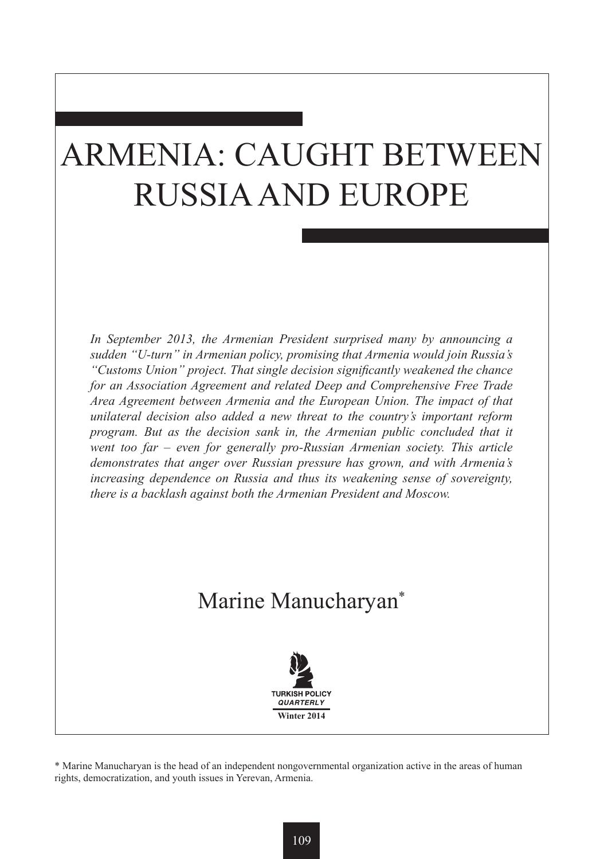# ARMENIA: CAUGHT BETWEEN RUSSIA AND EUROPE

*In September 2013, the Armenian President surprised many by announcing a sudden "U-turn" in Armenian policy, promising that Armenia would join Russia's "Customs Union" project. That single decision significantly weakened the chance for an Association Agreement and related Deep and Comprehensive Free Trade Area Agreement between Armenia and the European Union. The impact of that unilateral decision also added a new threat to the country's important reform program. But as the decision sank in, the Armenian public concluded that it went too far – even for generally pro-Russian Armenian society. This article demonstrates that anger over Russian pressure has grown, and with Armenia's increasing dependence on Russia and thus its weakening sense of sovereignty, there is a backlash against both the Armenian President and Moscow.*

## Marine Manucharyan\*



\* Marine Manucharyan is the head of an independent nongovernmental organization active in the areas of human rights, democratization, and youth issues in Yerevan, Armenia.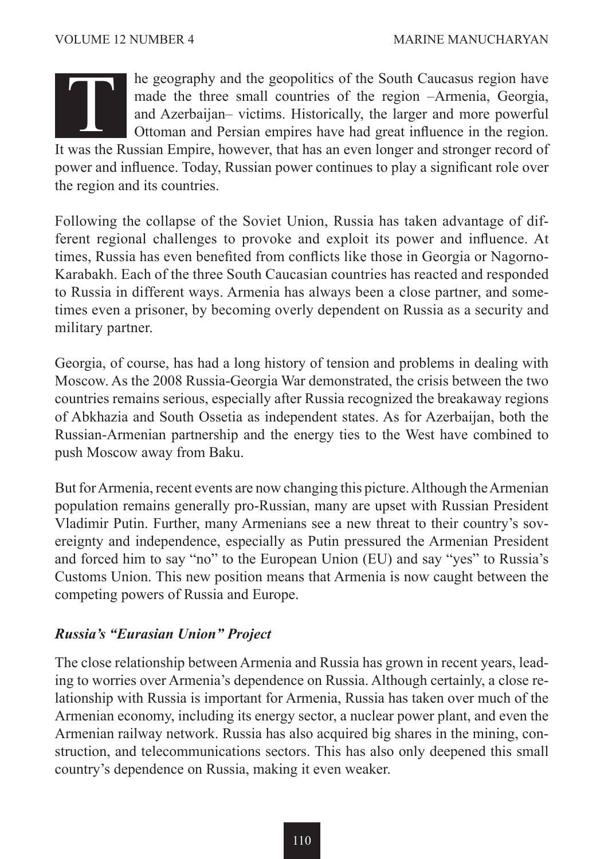

he geography and the geopolitics of the South Caucasus region have made the three small countries of the region –Armenia, Georgia, and Azerbaijan– victims. Historically, the larger and more powerful Ottoman and Persian empires have had great influence in the region. It was the Russian Empire, however, that has an even longer and stronger record of the Russian Empire, however, that has an even longer and stronger record of  $\mu$ 

power and influence. Today, Russian power continues to play a significant role over the region and its countries.

Following the collapse of the Soviet Union, Russia has taken advantage of different regional challenges to provoke and exploit its power and influence. At times, Russia has even benefited from conflicts like those in Georgia or Nagorno-Karabakh. Each of the three South Caucasian countries has reacted and responded to Russia in different ways. Armenia has always been a close partner, and sometimes even a prisoner, by becoming overly dependent on Russia as a security and military partner.

Georgia, of course, has had a long history of tension and problems in dealing with Moscow. As the 2008 Russia-Georgia War demonstrated, the crisis between the two countries remains serious, especially after Russia recognized the breakaway regions of Abkhazia and South Ossetia as independent states. As for Azerbaijan, both the Russian-Armenian partnership and the energy ties to the West have combined to push Moscow away from Baku.

But for Armenia, recent events are now changing this picture. Although the Armenian population remains generally pro-Russian, many are upset with Russian President Vladimir Putin. Further, many Armenians see a new threat to their country's sovereignty and independence, especially as Putin pressured the Armenian President and forced him to say "no" to the European Union (EU) and say "yes" to Russia's Customs Union. This new position means that Armenia is now caught between the competing powers of Russia and Europe.

### *Russia's "Eurasian Union" Project*

The close relationship between Armenia and Russia has grown in recent years, leading to worries over Armenia's dependence on Russia. Although certainly, a close relationship with Russia is important for Armenia, Russia has taken over much of the Armenian economy, including its energy sector, a nuclear power plant, and even the Armenian railway network. Russia has also acquired big shares in the mining, construction, and telecommunications sectors. This has also only deepened this small country's dependence on Russia, making it even weaker.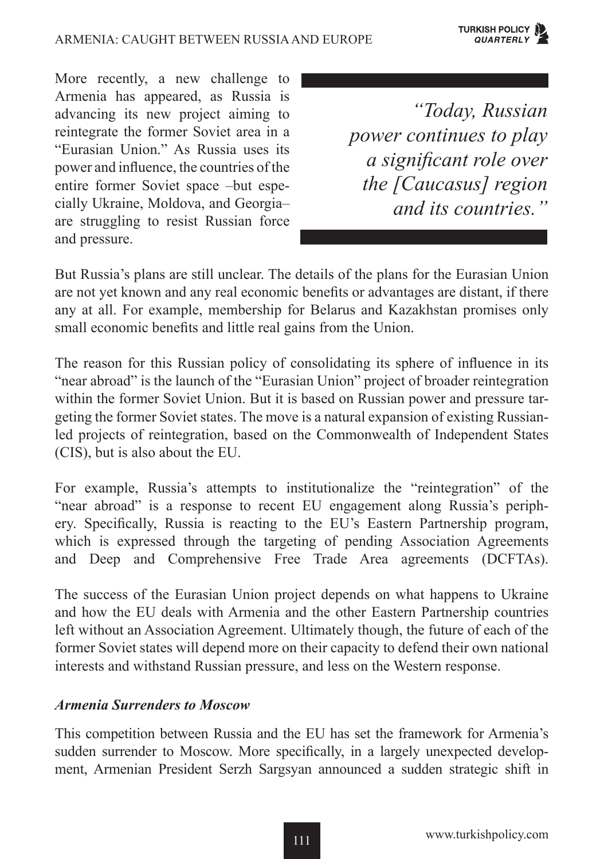More recently, a new challenge to Armenia has appeared, as Russia is advancing its new project aiming to reintegrate the former Soviet area in a "Eurasian Union." As Russia uses its power and influence, the countries of the entire former Soviet space –but especially Ukraine, Moldova, and Georgia– are struggling to resist Russian force and pressure.

*"Today, Russian power continues to play a significant role over the [Caucasus] region and its countries."*

But Russia's plans are still unclear. The details of the plans for the Eurasian Union are not yet known and any real economic benefits or advantages are distant, if there any at all. For example, membership for Belarus and Kazakhstan promises only small economic benefits and little real gains from the Union.

The reason for this Russian policy of consolidating its sphere of influence in its "near abroad" is the launch of the "Eurasian Union" project of broader reintegration within the former Soviet Union. But it is based on Russian power and pressure targeting the former Soviet states. The move is a natural expansion of existing Russianled projects of reintegration, based on the Commonwealth of Independent States (CIS), but is also about the EU.

For example, Russia's attempts to institutionalize the "reintegration" of the "near abroad" is a response to recent EU engagement along Russia's periphery. Specifically, Russia is reacting to the EU's Eastern Partnership program, which is expressed through the targeting of pending Association Agreements and Deep and Comprehensive Free Trade Area agreements (DCFTAs).

The success of the Eurasian Union project depends on what happens to Ukraine and how the EU deals with Armenia and the other Eastern Partnership countries left without an Association Agreement. Ultimately though, the future of each of the former Soviet states will depend more on their capacity to defend their own national interests and withstand Russian pressure, and less on the Western response.

#### *Armenia Surrenders to Moscow*

This competition between Russia and the EU has set the framework for Armenia's sudden surrender to Moscow. More specifically, in a largely unexpected development, Armenian President Serzh Sargsyan announced a sudden strategic shift in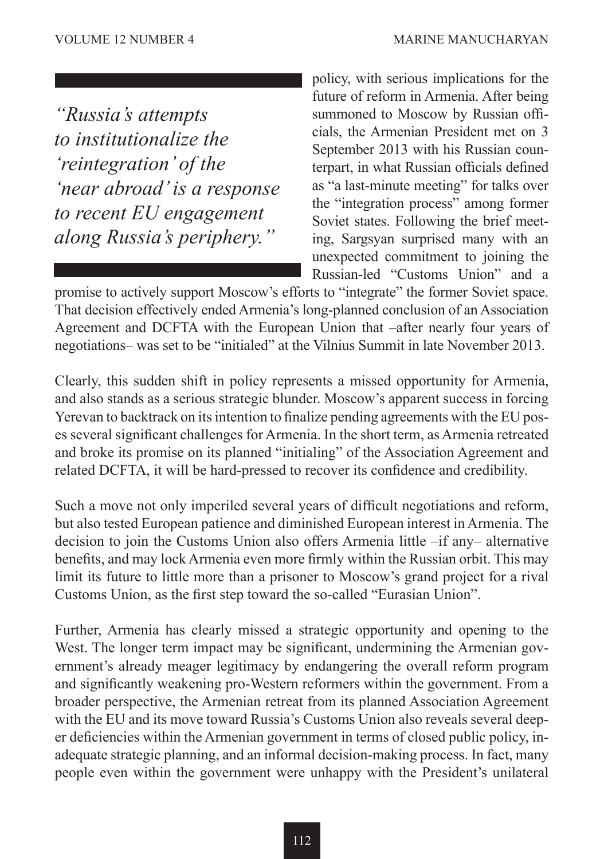*"Russia's attempts to institutionalize the 'reintegration' of the 'near abroad' is a response to recent EU engagement along Russia's periphery."*

policy, with serious implications for the future of reform in Armenia. After being summoned to Moscow by Russian officials, the Armenian President met on 3 September 2013 with his Russian counterpart, in what Russian officials defined as "a last-minute meeting" for talks over the "integration process" among former Soviet states. Following the brief meeting, Sargsyan surprised many with an unexpected commitment to joining the Russian-led "Customs Union" and a

promise to actively support Moscow's efforts to "integrate" the former Soviet space. That decision effectively ended Armenia's long-planned conclusion of an Association Agreement and DCFTA with the European Union that –after nearly four years of negotiations– was set to be "initialed" at the Vilnius Summit in late November 2013.

Clearly, this sudden shift in policy represents a missed opportunity for Armenia, and also stands as a serious strategic blunder. Moscow's apparent success in forcing Yerevan to backtrack on its intention to finalize pending agreements with the EU poses several significant challenges for Armenia. In the short term, as Armenia retreated and broke its promise on its planned "initialing" of the Association Agreement and related DCFTA, it will be hard-pressed to recover its confidence and credibility.

Such a move not only imperiled several years of difficult negotiations and reform, but also tested European patience and diminished European interest in Armenia. The decision to join the Customs Union also offers Armenia little –if any– alternative benefits, and may lock Armenia even more firmly within the Russian orbit. This may limit its future to little more than a prisoner to Moscow's grand project for a rival Customs Union, as the first step toward the so-called "Eurasian Union".

Further, Armenia has clearly missed a strategic opportunity and opening to the West. The longer term impact may be significant, undermining the Armenian government's already meager legitimacy by endangering the overall reform program and significantly weakening pro-Western reformers within the government. From a broader perspective, the Armenian retreat from its planned Association Agreement with the EU and its move toward Russia's Customs Union also reveals several deeper deficiencies within the Armenian government in terms of closed public policy, inadequate strategic planning, and an informal decision-making process. In fact, many people even within the government were unhappy with the President's unilateral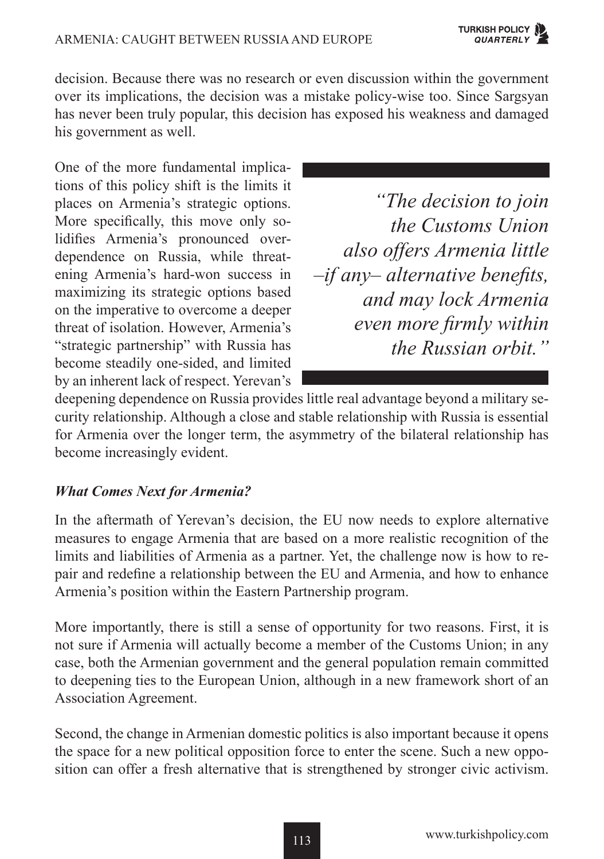decision. Because there was no research or even discussion within the government over its implications, the decision was a mistake policy-wise too. Since Sargsyan has never been truly popular, this decision has exposed his weakness and damaged his government as well.

One of the more fundamental implications of this policy shift is the limits it places on Armenia's strategic options. More specifically, this move only solidifies Armenia's pronounced overdependence on Russia, while threatening Armenia's hard-won success in maximizing its strategic options based on the imperative to overcome a deeper threat of isolation. However, Armenia's "strategic partnership" with Russia has become steadily one-sided, and limited by an inherent lack of respect. Yerevan's

*"The decision to join the Customs Union also offers Armenia little –if any– alternative benefits, and may lock Armenia even more firmly within the Russian orbit."*

deepening dependence on Russia provides little real advantage beyond a military security relationship. Although a close and stable relationship with Russia is essential for Armenia over the longer term, the asymmetry of the bilateral relationship has become increasingly evident.

### *What Comes Next for Armenia?*

In the aftermath of Yerevan's decision, the EU now needs to explore alternative measures to engage Armenia that are based on a more realistic recognition of the limits and liabilities of Armenia as a partner. Yet, the challenge now is how to repair and redefine a relationship between the EU and Armenia, and how to enhance Armenia's position within the Eastern Partnership program.

More importantly, there is still a sense of opportunity for two reasons. First, it is not sure if Armenia will actually become a member of the Customs Union; in any case, both the Armenian government and the general population remain committed to deepening ties to the European Union, although in a new framework short of an Association Agreement.

Second, the change in Armenian domestic politics is also important because it opens the space for a new political opposition force to enter the scene. Such a new opposition can offer a fresh alternative that is strengthened by stronger civic activism.